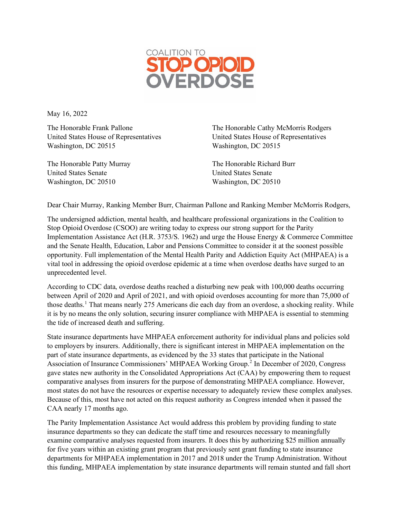

May 16, 2022

Washington, DC 20515 Washington, DC 20515

The Honorable Patty Murray The Honorable Richard Burr United States Senate United States Senate Washington, DC 20510 Washington, DC 20510

The Honorable Frank Pallone The Honorable Cathy McMorris Rodgers United States House of Representatives United States House of Representatives

Dear Chair Murray, Ranking Member Burr, Chairman Pallone and Ranking Member McMorris Rodgers,

The undersigned addiction, mental health, and healthcare professional organizations in the Coalition to Stop Opioid Overdose (CSOO) are writing today to express our strong support for the Parity Implementation Assistance Act (H.R. 3753/S. 1962) and urge the House Energy & Commerce Committee and the Senate Health, Education, Labor and Pensions Committee to consider it at the soonest possible opportunity. Full implementation of the Mental Health Parity and Addiction Equity Act (MHPAEA) is a vital tool in addressing the opioid overdose epidemic at a time when overdose deaths have surged to an unprecedented level.

According to CDC data, overdose deaths reached a disturbing new peak with 100,000 deaths occurring between April of 2020 and April of 2021, and with opioid overdoses accounting for more than 75,000 of those deaths. [1](#page-1-0) That means nearly 275 Americans die each day from an overdose, a shocking reality. While it is by no means the only solution, securing insurer compliance with MHPAEA is essential to stemming the tide of increased death and suffering.

State insurance departments have MHPAEA enforcement authority for individual plans and policies sold to employers by insurers. Additionally, there is significant interest in MHPAEA implementation on the part of state insurance departments, as evidenced by the 33 states that participate in the National Association of Insurance Commissioners' MHPAEA Working Group.<sup>[2](#page-1-1)</sup> In December of 2020, Congress gave states new authority in the Consolidated Appropriations Act (CAA) by empowering them to request comparative analyses from insurers for the purpose of demonstrating MHPAEA compliance. However, most states do not have the resources or expertise necessary to adequately review these complex analyses. Because of this, most have not acted on this request authority as Congress intended when it passed the CAA nearly 17 months ago.

The Parity Implementation Assistance Act would address this problem by providing funding to state insurance departments so they can dedicate the staff time and resources necessary to meaningfully examine comparative analyses requested from insurers. It does this by authorizing \$25 million annually for five years within an existing grant program that previously sent grant funding to state insurance departments for MHPAEA implementation in 2017 and 2018 under the Trump Administration. Without this funding, MHPAEA implementation by state insurance departments will remain stunted and fall short